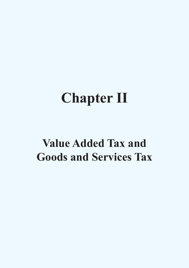# **Chapter II**

# **Value Added Tax and Goods and Services Tax**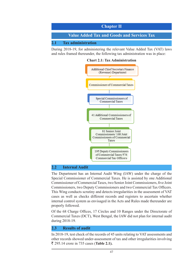

During 2018-19, for administering the relevant Value Added Tax (VAT) laws and rules framed thereunder, the following tax administration was in place:

#### **Chart 2.1: Tax Administration**



#### **2.2 Internal Audit**

The Department has an Internal Audit Wing (IAW) under the charge of the Special Commissioner of Commercial Taxes. He is assisted by one Additional Commissioner of Commercial Taxes, two Senior Joint Commissioners, five Joint Commissioners, two Deputy Commissioners and two Commercial Tax Officers. This Wing conducts scrutiny and detects irregularities in the assessment of VAT cases as well as checks different records and registers to ascertain whether internal control system as envisaged in the Acts and Rules made thereunder are properly followed.

Of the 68 Charge Offices, 17 Circles and 10 Ranges under the Directorate of Commercial Taxes (DCT), West Bengal, the IAW did not plan for internal audit during 2018-19.

#### **2.3 Results of audit**

In 2018-19, test check of the records of 45 units relating to VAT assessments and other records showed under-assessment of tax and other irregularities involving ` 295.14 crore in 735 cases (**Table 2.1).**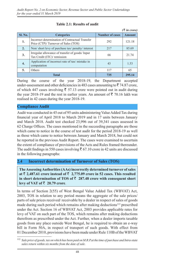|         |                                                                                        |                        | $(3 \nvert n \text{ error})$ |
|---------|----------------------------------------------------------------------------------------|------------------------|------------------------------|
| Sl. No. | <b>Categories</b>                                                                      | <b>Number of cases</b> | <b>Amount</b>                |
| 1.      | Incorrect determination of Contractual Transfer<br>Price (CTP)/Turnover of Sales (TOS) | 292                    | 121.18                       |
| 2.      | Non/short levy of purchase tax/penalty/interest                                        | 217                    | 85.69                        |
| 3.      | Irregular allowance of transfer of goods/Input<br>Tax Credit (ITC)/ remission          | 66                     | 21.74                        |
| 4.      | Application of incorrect rate of tax/ mistake in<br>computation                        | 43                     | 1.53                         |
| 5.      | Others                                                                                 | 117                    | 65                           |
|         | <b>Total</b>                                                                           | 735                    | 295.14                       |

#### **Table 2.1: Results of audit**

During the course of the year 2018-19, the Department accepted under-assessment and other deficiencies in 483 cases amounting to  $\bar{\tau}$  74.87 crore, of which 447 cases involving  $\bar{\xi}$  57.13 crore were pointed out in audit during the year 2018-19 and the rest in earlier years. An amount of  $\bar{\tau}$  70.16 lakh was realised in 42 cases during the year 2018-19.

#### **Compliance Audit**

Audit was conducted in 45 out of 95 units administering Value Added Tax during financial year of April 2018 to March 2019 and in 17 units between January and March 2018. Audit test checked 23,996 out of 39,341 cases assessed in 62 Charge Offices. The cases mentioned in the succeeding paragraphs are those which came to notice in the course of test audit for the period 2018-19 as well as those which came to notice between January and March 2018, but could not be reported in the previous Audit Report. The cases were examined to ascertain the extent of compliance of provisions of the Acts and Rules framed thereunder. The audit findings in 550 cases involving  $\bar{\tau}$  67.10 crore in 42 units are discussed in the following paragraphs:

#### **2.4 Incorrect determination of Turnover of Sales (TOS)**

**The Assessing Authorities (AAs) incorrectly determined turnover of sales**  at  $\bar{\tau}$  **2,487.61** crore instead of  $\bar{\tau}$  **2,775.09** crore in 52 cases. This resulted in short determination of TOS of  $\bar{\tau}$  287.48 crore with consequent short **levy of VAT of**  $\bar{\tau}$  **20.79 crore.** 

In terms of Section 2(55) of West Bengal Value Added Tax (WBVAT) Act, 2003, TOS in relation to any period means the aggregate of the sale prices/ parts of sale prices received/ receivable by a dealer in respect of sales of goods made during such period which remains after making deductions<sup>112</sup> prescribed under the Act. Section 16 of WBVAT Act, 2003 provides applicable rates for levy of VAT on such part of the TOS, which remains after making deductions therefrom as prescribed under the Act. Further, when a dealer imports taxable goods from any place outside West Bengal, he is required to obtain an e-way bill in Form 50A, in respect of transport of such goods. With effect from 01 December 2010, provisions have been made under Rule 110B of the WBVAT

<sup>112</sup> *Sale price of goods, tax on which has been paid on M.R.P.at the time of purchase and Intra-state sales return within six months from the date of sale*.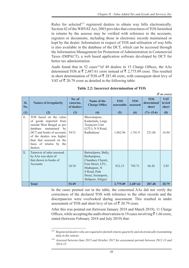*(*` *in crore)*

Rules for selected<sup>113</sup> registered dealers to obtain way bills electronically. Section 42 of the WBVAT Act, 2003 provides that correctness of TOS furnished in returns by the assesse may be verified with reference to the accounts, registers or documents, including those in electronic records maintained or kept by the dealer. Information in respect of TOS and utilisation of way bills is also available in the database of the DCT, which can be accessed through the Information Management for Promotion of Administration in Commercial Taxes (IMPACT), a web based application software developed by DCT for better tax administration.

Audit found that in 52 cases<sup>114</sup>of 49 dealers in 15 Charge Offices, the AAs determined TOS at  $\bar{\tau}$  2,487.61 crore instead of  $\bar{\tau}$  2,775.09 crore. This resulted in short determination of TOS of  $\bar{\tau}$  287.48 crore, with consequent short levy of VAT of  $\bar{\tau}$  20.79 crore as detailed in the following table:

| SI.<br>No. | <b>Nature of irregularity</b>                                                                                                                                                                                                             | No. of<br>cases/no.<br>of dealers | Name of the<br><b>Charge Office</b>                                                                                                                    | <b>TOS</b><br>assessable | <b>TOS</b><br>assessed | <b>TOS</b><br>determined<br>short | <b>VAT</b><br><b>levied</b><br>short |
|------------|-------------------------------------------------------------------------------------------------------------------------------------------------------------------------------------------------------------------------------------------|-----------------------------------|--------------------------------------------------------------------------------------------------------------------------------------------------------|--------------------------|------------------------|-----------------------------------|--------------------------------------|
| (1)        | (2)                                                                                                                                                                                                                                       | (3)                               | (4)                                                                                                                                                    | (5)                      | (6)                    | $(7)=(5-6)$                       | (8)                                  |
| 1.         | TOS based on the value<br>of goods imported from<br>outside West Bengal as per<br>maintained by<br>database<br>DCT and books of accounts<br>of the dealers was higher<br>than that assessed on the<br>basis of returns by the<br>dealers. | 34/31                             | Bhowanipore,<br>Kadamtala, Large<br>Taxpayers Unit<br>(LTU), N S Road,<br>Radhabazar                                                                   | 1,962.96                 | 1,741.9                | 221.06                            | 16.94                                |
| 2.         | Turnover of sales assessed<br>by AAs was short of<br>that shown in books of<br>Accounts.                                                                                                                                                  | 18/18                             | Barrackpore, Bally,<br>Berhampore,<br>Chandney Chawk,<br>Ezra Street, LTU,<br>Midnapore, N<br>S Road, Park<br>Street, Serampore,<br>Shibpore, Siliguri | 812.13                   | 745.71                 | 66.42                             | 3.85                                 |
|            | <b>Total</b>                                                                                                                                                                                                                              | 52/49                             |                                                                                                                                                        | 2,775.09                 | 2,487.61               | 287.48                            | 20.79                                |

**Table 2.2: Incorrect determination of TOS**

In the cases pointed out in the table, the concerned AAs did not verify the correctness of the declared TOS with reference to the other records and the discrepancies were overlooked during assessment. This resulted in under assessment of TOS and short levy of tax of  $\bar{\mathfrak{g}}$  20.79 crore.

After this was pointed out (between January 2018 and March 2019), 11 Charge Offices, while accepting the audit observations in 19 cases involving  $\bar{\tau}$  1.66 crore, stated (between February 2018 and July 2019) that:

<sup>113</sup> *Registered dealers who are required to furnish returns quarterly and electronically transmitting data in the returns.*

<sup>114</sup> *Assessed between June 2015 and October 2017 for assessment periods between 2012-13 and 2014-15*.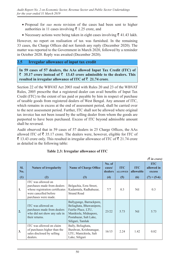- Proposal for *suo motu* revision of the cases had been sent to higher authorities in 11 cases involving  $\bar{\tau}$  1.25 crore, and
- Necessary actions were being taken in eight cases involving  $\bar{\tau}$  41.43 lakh.

However, no report on realisation of tax was furnished. In the remaining 33 cases, the Charge Offices did not furnish any reply (December 2020). The matter was reported to the Government in March 2020, followed by a reminder in October 2020. Reply was awaited (December 2020).

#### **2.5 Irregular allowance of input tax credit**

**In 59 cases of 57 dealers, the AAs allowed Input Tax Credit (ITC) of**  ` **35.17 crore instead of** ` **13.43 crore admissible to the dealers. This**  resulted in irregular allowance of ITC of  $\bar{z}$  21.74 crore.

Section 22 of the WBVAT Act 2003 read with Rules 20 and 23 of the WBVAT Rules, 2005 prescribe that a registered dealer can avail benefits of Input Tax Credit (ITC) to the extent of tax paid or payable by him in respect of purchase of taxable goods from registered dealers of West Bengal. Any amount of ITC, which remains in excess at the end of assessment period, shall be carried over to the next assessment period. Further, ITC shall not be allowed where original tax invoice has not been issued by the selling dealer from whom the goods are purported to have been purchased. Excess of ITC beyond admissible amount shall be reversed.

Audit observed that in 59 cases of 57 dealers in 25 Charge Offices, the AAs allowed ITC of  $\bar{\mathfrak{g}}$  35.17 crore. The dealers were, however, eligible for ITC of  $\bar{\xi}$  13.43 crore only. This resulted in irregular allowance of ITC of  $\bar{\xi}$  21.74 crore as detailed in the following table:

|                   |                                                                                                                                       |                                                                                                                                                    |                                    |                                     |                                | $(3 \nvert n \text{ error})$                        |
|-------------------|---------------------------------------------------------------------------------------------------------------------------------------|----------------------------------------------------------------------------------------------------------------------------------------------------|------------------------------------|-------------------------------------|--------------------------------|-----------------------------------------------------|
| SI.<br>No.<br>(1) | <b>Nature of irregularity</b><br>(2)                                                                                                  | <b>Name of Charge Office</b><br>(3)                                                                                                                | No. of<br>cases/<br>dealers<br>(4) | <b>ITC</b><br><b>ALLOWED</b><br>(5) | <b>ITC</b><br>allowable<br>(6) | <b>ITC</b><br>allowed in<br>excess<br>$(7) = (5-6)$ |
| 1.                | ITC was allowed on<br>purchases made from dealers<br>whose registration certificates<br>were cancelled before<br>purchases were made. | Belgachia, Ezra Street,<br>Kadamtala, Radhabazar,<br><b>Strand Road</b>                                                                            | 7/7                                | 0.3                                 | Nil                            | 0.3                                                 |
| 2.                | ITC was allowed on<br>purchases made from dealers<br>who did not show any sale in<br>their returns.                                   | Ballygunge, Barrackpore,<br>Beliaghata, Bhawanipore,<br>Fairlie Place, LTU,<br>Maniktola, Midnapore,<br>Postabazar, Salt Lake,<br>Siliguri, Tamluk | 23/22                              | 5.73                                | N <sub>il</sub>                | 5.73                                                |
| 3.                | ITC was allowed on claim<br>of purchases higher than the<br>sales disclosed by selling<br>dealers.                                    | Bally, Beliaghata,<br>Burdwan, Krishnanagar,<br>LTU, Manicktola, Salt<br>Lake, Siliguri                                                            | 16/15                              | 2.24                                | 1.42                           | 0.82                                                |

#### **Table 2.3: Irregular allowance of ITC**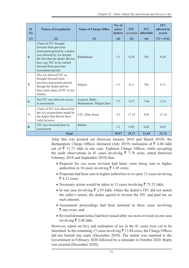| SI.<br>No.       | <b>Nature of irregularity</b>                                                                                                                                                                                                | <b>Name of Charge Office</b>                  | No. of<br>cases/<br>dealers | <b>ITC</b><br><b>ALLOWED</b> | <b>ITC</b><br>allowable | <b>ITC</b><br>allowed in<br>excess |
|------------------|------------------------------------------------------------------------------------------------------------------------------------------------------------------------------------------------------------------------------|-----------------------------------------------|-----------------------------|------------------------------|-------------------------|------------------------------------|
| (1)              | (2)                                                                                                                                                                                                                          | (3)                                           | (4)                         | (5)                          | (6)                     | $(7) = (5-6)$                      |
| $\overline{4}$ . | Claim of ITC brought<br>forward from previous<br>assessment period by a dealer<br>was allowed by AA despite<br>the fact that the dealer did not<br>have any ITC to be carried<br>forward from previous<br>assessment period. | Radhabazar                                    | 1/1                         | 0.28                         | Nil                     | 0.28                               |
| 5.               | The AA allowed ITC as<br>brought forward from<br>previous assessment period,<br>though the dealer did not<br>have such claim of ITC in his<br>returns.                                                                       | Siliguri                                      | 1/1                         | 0.11                         | <b>Nil</b>              | 0.11                               |
| 6.               | Net ITC was allowed excess<br>in assessment.                                                                                                                                                                                 | Asansol, Bally,<br>Berhampore, Siliguri, Suri | 7/7                         | 9.27                         | 7.94                    | 1.33                               |
| 7.               | Claim of ITC was allowed by<br>the AA on purchases made by<br>the dealer that did not have<br>valid invoices.                                                                                                                | LTU, Park Street                              | 3/3                         | 17.19                        | 4.05                    | 13.14                              |
| 8.               | ITC was reversed short in<br>assessment.                                                                                                                                                                                     | Behala                                        | 1/1                         | 0.05                         | 0.02                    | 0.03                               |
|                  | <b>Total</b>                                                                                                                                                                                                                 | 59/57                                         | 35.17                       | 13.43                        | 21.74                   |                                    |

After this was pointed out (between January 2018 and March 2019), the Berhampore Charge Offices intimated (July 2019) realisation of  $\bar{\tau}$  4.06 lakh out of  $\bar{\tau}$  11.71 lakh in one case. Eighteen Charge Offices, while accepting the audit observations in 41 cases involving  $\bar{\tau}$  7.78 crore, stated (between February 2018 and September 2019) that:

- Proposal for *suo motu* revision had been/ were being sent to higher authorities in 10 cases involving  $\bar{\tau}$  1.45 crore;
- Proposals had been sent to higher authorities to re-open 13 cases involving  $\overline{5}$  4.52 crore;
- Necessary action would be taken in 13 cases involving  $\bar{\tau}$  75.33 lakh;
- In one case involving  $\bar{\xi}$  2.93 lakh, where the dealer's ITC did not match the seller's return, the dealer agreed to reverse the ITC and paid tax on such amount;
- Assessment proceedings had been initiated in three cases involving  $\bar{\bar{\xi}}$  one crore; and
- Revised demand notice had been issued after *suo motu* revision in one case involving  $\bar{\bar{\xi}}$  2.08 lakh.

However, report on levy and realisation of tax in the 41 cases were yet to be furnished. In the remaining 17 cases involving  $\bar{\bar{\tau}}$  13.84 crore, the Charge Offices did not furnish any reply (December 2020). The matter was reported to the Government in February 2020 followed by a reminder in October 2020. Reply was awaited (December 2020).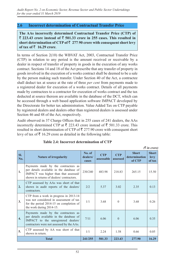#### **2.6 Incorrect determination of Contractual Transfer Price**

**The AAs incorrectly determined Contractual Transfer Price (CTP) of**   $\bar{\tau}$  223.43 crore instead of  $\bar{\tau}$  501.33 crore in 255 cases. This resulted in **short determination of CTP of** ` **277***.***90 crore with consequent short levy**  of tax of  $\bar{z}$  16.29 crore.

In terms of Section 2(10) the WBVAT Act, 2003, Contractual Transfer Price (CTP) in relation to any period is the amount received or receivable by a dealer in respect of transfer of property in goods in the execution of any works contract. Sections 14 and 18 of the Act prescribe that any transfer of property in goods involved in the execution of a works contract shall be deemed to be a sale by the person making such transfer. Under Section 40 of the Act, a contractee shall deduct tax at source at the rate of three *per cent* from payments made to a registered dealer for execution of a works contract. Details of all payments made by contractees to a contractor for execution of works contract and the tax deducted at source thereon are available in the database of the DCT, which can be accessed through a web based application software IMPACT developed by the Directorate for better tax administration. Value Added Tax on CTP payable by registered dealers and dealers other than registered dealers is assessed under Section 46 and 48 of the Act, respectively.

Audit observed in 37 Charge Offices that in 255 cases of 241 dealers, the AAs incorrectly determined CTP at  $\bar{\tau}$  223.43 crore instead of  $\bar{\tau}$  501.33 crore. This resulted in short determination of CTP of  $\bar{\mathfrak{F}}$  277.90 crore with consequent short levy of tax of  $\bar{\tau}$  16.29 crore as detailed in the following table:

|                  | $(3 \nvert n \nvert)$                                                                                                                                                |                             |                          |                               |                                         |                                |  |
|------------------|----------------------------------------------------------------------------------------------------------------------------------------------------------------------|-----------------------------|--------------------------|-------------------------------|-----------------------------------------|--------------------------------|--|
| Sl.<br>No.       | <b>Nature of irregularity</b>                                                                                                                                        | No. of<br>dealers/<br>cases | <b>CTP</b><br>assessable | <b>CTP</b><br><b>assessed</b> | <b>Short</b><br>determination<br>of CTP | <b>Short</b><br>levy<br>of tax |  |
| 1.               | Payments made by the contractees as<br>per details available in the database of<br>IMPACT was higher than that assessed/<br>shown in returns of dealers/contractors. | 230/240                     | 483.98                   | 218.83                        | 265.15                                  | 15.50                          |  |
| 2.               | CTP assessed by AAs was short of that<br>shown in audit reports of the dealers/<br>contractors.                                                                      | 2/2                         | 5.37                     | 3.02                          | 2.35                                    | 0.13                           |  |
| 3.               | CTP from a work in progress in 2013-14<br>was not considered in assessment of tax<br>for the period 2014-15 on completion of<br>the work during 2014-15.             | 1/1                         | 3.68                     | $\Omega$                      | 3.68                                    | 0.26                           |  |
| $\overline{4}$ . | Payments made by the contractees as<br>per details available in the database of<br>IMPACT to the unregistered dealers/<br>contractors were not assessed by the AAs.  | 7/11                        | 6.06                     | $\Omega$                      | 6.06                                    | 0.35                           |  |
| 5.               | CTP assessed by AA was short of that<br>shown in return.                                                                                                             | 1/1                         | 2.24                     | 1.58                          | 0.66                                    | 0.05                           |  |
|                  | <b>Total</b>                                                                                                                                                         | 241/255                     | 501.33                   | 223.43                        | 277.90                                  | 16.29                          |  |

#### **Table 2.4: Incorrect determination of CTP**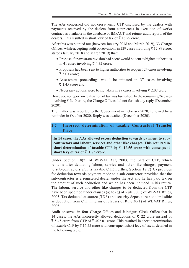The AAs concerned did not cross-verify CTP disclosed by the dealers with payments received by the dealers from contractees in execution of works contract as available in the database of IMPACT and return/ audit reports of the dealers. This resulted in short levy of tax of  $\bar{\tau}$  16.29 crore.

After this was pointed out (between January 2018 and March 2019), 33 Charge Offices, while accepting audit observations in 229 cases involving  $\bar{\tau}$  12.89 crore, stated (January 2018 and March 2019) that:

- Proposal for *suo motu* revision had been/ would be sent to higher authorities in 41 cases involving  $\bar{\xi}$  4.32 crore;
- Proposals had been sent to higher authorities to reopen 124 cases involving  $\bar{z}$  5.03 crore;
- Assessment proceedings would be initiated in 37 cases involving  $\bar{\bar{\xi}}$  1.45 crore and
- Necessary actions were being taken in 27 cases involving  $\bar{\tau}$  2.08 crore.

However, no report on realisation of tax was furnished. In the remaining 26 cases involving  $\bar{\xi}$  3.40 crore, the Charge Offices did not furnish any reply (December 2020).

The matter was reported to the Government in February 2020, followed by a reminder in October 2020. Reply was awaited (December 2020).

# **2.7 Incorrect determination of taxable Contractual Transfer Price**

**In 14 cases, the AAs allowed excess deduction towards payment to subcontractors and labour, services and other like charges. This resulted in**  short determination of taxable CTP by  $\bar{z}$  16.55 crore with consequent short levy of tax of  $\bar{z}$  1.73 crore.

Under Section 18(2) of WBVAT Act, 2003, the part of CTP, which remains after deducting labour, service and other like charges, payment to sub-contractors *etc*., is taxable CTP. Further, Section 18(2) (C) provides for deduction towards payment made to a sub-contractor, provided that the sub-contractor is a registered dealer under the Act and he has paid tax on the amount of such deduction and which has been included in his return. The labour, service and other like charges to be deducted from the CTP have been specified under clauses (a) to (g) of Rule 30(1) of WBVAT Rules, 2005. Tax deducted at source (TDS) and security deposit are not admissible as deduction from CTP in terms of clauses of Rule 30(1) of WBVAT Rules, 2005.

Audit observed in four Charge Offices and Jalpaiguri Circle Office that in 14 cases, the AAs incorrectly allowed deductions of  $\bar{\tau}$  22 crore instead of  $\bar{\xi}$  5.45 crore from CTP of  $\bar{\xi}$  402.01 crore. This resulted in short determination of taxable CTP by  $\bar{\tau}$  16.55 crore with consequent short levy of tax as detailed in the following table: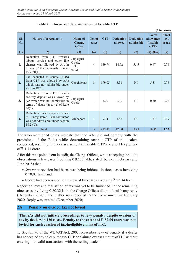| $(\bar{\bar{\mathbf{x}}}$ in crore) |                                                                                                                                                      |                                           |                 |            |                             |                                |                                                |                                |
|-------------------------------------|------------------------------------------------------------------------------------------------------------------------------------------------------|-------------------------------------------|-----------------|------------|-----------------------------|--------------------------------|------------------------------------------------|--------------------------------|
| Sl.<br>No.                          | <b>Nature of irregularity</b>                                                                                                                        | Name of<br><b>Charge</b><br><b>Office</b> | No. of<br>cases | <b>CTP</b> | <b>Deduction</b><br>allowed | <b>Deduction</b><br>admissible | <b>Excess</b><br>allowance<br>(taxable<br>CTP) | <b>Short</b><br>levy<br>of tax |
| (1)                                 | (2)                                                                                                                                                  | (3)                                       | (4)             | (5)        | (6)                         | (7)                            | $(8)=(6-7)$                                    | (9)                            |
| 1.                                  | Deduction from CTP<br>towards<br>labour, service and other like<br>charges was allowed by AA in<br>excess of that admissible under<br>Rule $30(1)$ . | Jalpaiguri<br>Circle,<br>LTU,<br>Tamluk   | $\overline{4}$  | 189.94     | 14.92                       | 5.45                           | 9.47                                           | 0.76                           |
| 2.                                  | Tax deducted at source (TDS)<br>from CTP was allowed by AAs<br>which was not admissible under<br>section $18(2)$ .                                   | Coochbehar                                | $\mathbf{8}$    | 199.03     | 5.31                        | N <sub>il</sub>                | 5.31                                           | 0.76                           |
| 3.                                  | Deduction from CTP towards<br>security deposit was allowed by<br>AA which was not admissible in<br>terms of clause (a) to $(g)$ of Rule<br>$30(1)$ . | Jalpaiguri<br>Circle                      | 1               | 3.70       | 0.30                        | N <sub>i</sub> l               | 0.30                                           | 0.02                           |
| $\overline{4}$ .                    | Deduction towards payment made<br>unregistered sub-contractor<br>to<br>was not admissible under section<br>$18(2)(C)$ .                              | Midnapore                                 | 1               | 9.34       | 1.47                        | N <sub>il</sub>                | 1.47                                           | 0.19                           |
|                                     | <b>Total</b>                                                                                                                                         |                                           | 14              | 402.01     | 22.00                       | 5.45                           | 16.55                                          | 1.73                           |

#### **Table 2.5: Incorrect determination of taxable CTP**

The aforementioned cases indicate that the AAs did not comply with the provisions of the Rules while determining taxable CTP of the dealers concerned, resulting in under assessment of taxable CTP and short levy of tax of  $\bar{\bar{\xi}}$  1.73 crore.

After this was pointed out in audit, the Charge Offices, while accepting the audit observations in five cases involving  $\bar{\tau}$  92.35 lakh, stated (between February and June 2018) that:

- *Suo motu* revision had been/ was being initiated in three cases involving  $\bar{\mathcal{F}}$  70.01 lakh; and
- Notice had been issued for review of two cases involving  $\bar{\tau}$  22.34 lakh.

Report on levy and realisation of tax was yet to be furnished. In the remaining nine cases involving  $\bar{\xi}$  80.32 lakh, the Charge Offices did not furnish any reply (December 2020). The matter was reported to the Government in February 2020. Reply was awaited (December 2020).

# **2.8 Penalty on evaded tax not levied**

**The AAs did not initiate proceedings to levy penalty despite evasion of**  tax by dealers in 120 cases. Penalty to the extent of  $\bar{z}$  52.09 crore was not **levied for such evasion of tax/ineligible claims of ITC.**

1. Section 96 of the WBVAT Act, 2003, prescribes levy of penalty if a dealer has concealed any sale/ purchase/ CTP or claimed excess amount of ITC without entering into valid transactions with the selling dealers.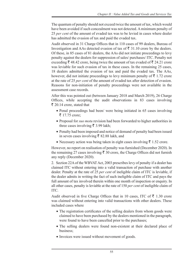The quantum of penalty should not exceed twice the amount of tax, which would have been avoided if such concealment was not detected. A minimum penalty of 25 *per cent* of the amount of evaded tax was to be levied in cases where dealer has admitted the evasion of tax and paid the evaded tax.

Audit observed in 31 Charge Offices that in 110 cases of 99 dealers, Bureau of Investigation and AAs detected evasion of tax of  $\bar{\tau}$  31.10 crore by the dealers. Of these, in 85 cases of 81 dealers, the AAs did not initiate proceedings to levy penalty against the dealers for suppression of sales/ purchases/ ITC. Penalty not exceeding  $\bar{\xi}$  48.42 crore, being twice the amount of tax evaded of  $\bar{\xi}$  24.21 crore was leviable for such evasion of tax in these cases. In the remaining 25 cases, 18 dealers admitted the evasion of tax and paid the evaded tax. The AAs, however, did not initiate proceedings to levy minimum penalty of  $\bar{\tau}$  1.72 crore at the rate of 25 *per cent* of the amount of evaded tax after detection of evasion. Reasons for non-initiation of penalty proceedings were not available in the assessment case records.

After this was pointed out (between January 2018 and March 2019), 26 Charge Offices, while accepting the audit observations in 83 cases involving  $\bar{\xi}$  20.14 crore, stated that

- Penal proceedings had been/ were being initiated in 65 cases involving  $\bar{z}$  17.75 crore;
- Proposal for *suo motu* revision had been forwarded to higher authorities in three cases involving  $\bar{\bar{\xi}}$  3.99 lakh;
- Penalty had been imposed and notice of demand of penalty had been issued in seven cases involving  $\bar{\bar{\xi}}$  82.88 lakh, and
- Necessary action was being taken in eight cases involving  $\bar{\tau}$  1.52 crore.

However, no report on realisation of penalty was furnished (December 2020). In the remaining 27 cases involving  $\bar{\tau}$  30 crore, the Charge Offices did not furnish any reply (December 2020).

2. Section 22A of the WBVAT Act, 2003 prescribes levy of penalty if a dealer has claimed ITC without entering into a valid transaction of purchase with another dealer. Penalty at the rate of 25 *per cent* of ineligible claim of ITC is leviable, if the dealer admits in writing the fact of such ineligible claim of ITC and pays the full amount of tax involved therein within one month of inspection or enquiry. In all other cases, penalty is leviable at the rate of 150 *per cent* of ineligible claim of ITC.

Audit observed in five Charge Offices that in 10 cases, ITC of  $\bar{\tau}$  1.30 crore was claimed without entering into valid transactions with other dealers. These included cases where

- The registration certificates of the selling dealers from whom goods were claimed to have been purchased by the dealers mentioned in the paragraph, were found to have been cancelled prior to the purchases;
- The selling dealers were found non-existent at their declared place of business;
- Invoices were issued without movement of goods.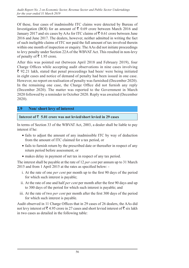Of these, four cases of inadmissible ITC claims were detected by Bureau of Investigation (BOI) for an amount of  $\bar{\tau}$  0.69 crore between March 2016 and January 2017 and six cases by AAs for ITC claims of  $\bar{\tau}$  0.61 crore between June 2016 and June 2017. The dealers, however, neither admitted in writing the fact of such ineligible claims of ITC nor paid the full amount of tax involved therein within one month of inspection or enquiry. The AAs did not initiate proceedings to levy penalty under Section 22A of the WBVAT Act. This resulted in non-levy of penalty of  $\bar{\bar{\xi}}$  1.95 crore.

After this was pointed out (between April 2018 and February 2019), four Charge Offices while accepting audit observations in nine cases involving  $\bar{\xi}$  92.21 lakh, stated that penal proceedings had been/ were being initiated in eight cases and notice of demand of penalty had been issued in one case. However, no report on realisation of penalty was furnished (December 2020). In the remaining one case, the Charge Office did not furnish any reply (December 2020). The matter was reported to the Government in March 2020 followed by a reminder in October 2020. Reply was awaited (December 2020).

# **2.9 Non/ short levy of interest**

#### Interest of  $\bar{\tau}$  5.01 crore was not levied/short levied in 29 cases

In terms of Section 33 of the WBVAT Act, 2003, a dealer shall be liable to pay interest if he:

- fails to adjust the amount of any inadmissible ITC by way of deduction from the amount of ITC claimed for a tax period, or
- fails to furnish return by the prescribed date or thereafter in respect of any return period before assessment, or
- makes delay in payment of net tax in respect of any tax period.

The interest shall be payable at the rate of 12 *per cent* per annum up to 31 March 2015 and from 1 April 2015 at the rates as specified below: -

- i. At the rate of one *per cent* per month up to the first 90 days of the period for which such interest is payable;
- ii. At the rate of one and half *per cent* per month after the first 90 days and up to 300 days of the period for which such interest is payable; and
- iii. At the rate of two *per cent* per month after the first 300 days of the period for which such interest is payable.

Audit observed in 11 Charge Offices that in 29 cases of 26 dealers, the AAs did not levy interest of  $\bar{\mathfrak{g}}$  4.95 crore in 27 cases and short levied interest of  $\bar{\mathfrak{g}}$  six lakh in two cases as detailed in the following table: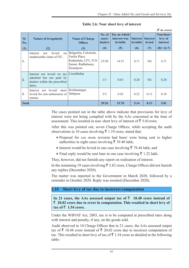|              |                                                                                                   |                                                                                                            |                             |                                                 |                                    |                           | $(3 \nvert n \text{ error})$            |
|--------------|---------------------------------------------------------------------------------------------------|------------------------------------------------------------------------------------------------------------|-----------------------------|-------------------------------------------------|------------------------------------|---------------------------|-----------------------------------------|
| SI.<br>No.   | <b>Nature of irregularity</b>                                                                     | <b>Name of Charge</b><br><b>Offices</b>                                                                    | No. of<br>cases/<br>dealers | <b>Tax on which</b><br>interest was<br>leviable | <b>Interest</b><br><b>leviable</b> | Interest<br><b>levied</b> | Non/short<br>levy of<br><b>interest</b> |
| (1)<br>1.    | (2)<br>levied<br>Interest<br>not<br>on<br>inadmissible claim of ITC.                              | (3)<br>Belgachia, Colootola,<br>Fairlie Place,<br>Kadamtala, LTU, N.D.<br>Sarani, Radhabazar,<br>Serampore | (4)<br>23/20                | (5)<br>14.51                                    | (6)<br>4.71                        | (7)<br>Nil                | $(8)=(6-7)$<br>4.71                     |
| 2.           | Interest not levied on tax<br>admitted but not paid by<br>dealers within the prescribed<br>dates. | Coochbehar                                                                                                 | 1/1                         | 0.63                                            | 0.20                               | <b>Nil</b>                | 0.20                                    |
| 3.           | not levied/<br>short  <br>Interest<br>levied for non-submission of<br>returns.                    | Krishnanagar,<br>Shibpore                                                                                  | 5/5                         | 0.56                                            | 0.23                               | 0.13                      | 0.10                                    |
| <b>Total</b> |                                                                                                   |                                                                                                            | 29/26                       | 15.70                                           | 5.14                               | 0.13                      | 5.01                                    |

**Table 2.6: Non/ short levy of interest**

The cases pointed out in the table above indicate that provisions for levy of interest were not being complied with by the AAs concerned at the time of assessment. This resulted in non/ short levy of interest of  $\bar{z}$  5.01 crore.

After this was pointed out, seven Charge Offices, while accepting the audit observations in 10 cases involving  $\bar{\tau}$  1.19 crore, stated that:

- Proposal for *suo motu* revision had been/ were being sent to higher authorities in eight cases involving  $\bar{\tau}$  39.40 lakh;
- Interest would be levied in one case involving  $\bar{\tau}$  78.44 lakh, and
- Final reply would be sent later in one case involving  $\bar{\tau}$  1.22 lakh.

They, however, did not furnish any report on realisation of interest.

In the remaining 19 cases involving  $\bar{\tau}$  3.82 crore, Charge Offices did not furnish any replies (December 2020).

The matter was reported to the Government in March 2020, followed by a reminder in October 2020. Reply was awaited (December 2020).

#### **2.10 Short levy of tax due to incorrect computation**

In 21 cases, the AAs assessed output tax of  $\bar{z}$  18.48 crore instead of ` **20.02 crore due to error in computation. This resulted in short levy of**   $\text{tax of } \overline{z}$  1.54 crore.

Under the WBVAT Act, 2003, tax is to be computed at prescribed rates along with interest and penalty, if any, on the goods sold.

Audit observed in 10 Charge Offices that in 21 cases, the AAs assessed output tax of  $\bar{\tau}$  18.48 crore instead of  $\bar{\tau}$  20.02 crore due to incorrect computation of tax. This resulted in short levy of tax of  $\bar{\tau}$  1.54 crore as detailed in the following table: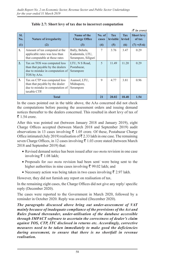|            |                                                                                                                     |                                                          |                 |                               |                             | $\mathcal{R}$ in crore)     |
|------------|---------------------------------------------------------------------------------------------------------------------|----------------------------------------------------------|-----------------|-------------------------------|-----------------------------|-----------------------------|
| SI.<br>No. | <b>Nature of irregularity</b>                                                                                       | Name of the<br><b>Charge Office</b>                      | No. of<br>cases | <b>Tax</b><br><b>leviable</b> | <b>Tax</b><br><b>levied</b> | <b>Short levy</b><br>of tax |
| (1)        | (2)                                                                                                                 | (3)                                                      | (4)             | (5)                           | (6)                         | $(7) = (5-6)$               |
| 1.         | Amount of tax computed at the<br>applicable rates was less than<br>that computable at those rates                   | Bally, Behala,<br>Kadamtala, LTU,<br>Serampore, Siliguri | 7               | 3.76                          | 3.47                        | 0.29                        |
| 2.         | Tax on TOS was computed less<br>than that payable by the dealers<br>due to mistake in computation of<br>TOS by AAs. | LTU, N S Road,<br>Postabazar,<br>Serampore               | 5               | 11.49                         | 11.20                       | 0.29                        |
| 3.         | Tax on CTP was computed less<br>than that payable by the dealer<br>due to mistake in computation of<br>taxable CTP. | Asansol, LTU,<br>Midnapore,<br>Serampore                 | 9               | 4.77                          | 3.81                        | 0.96                        |
|            | <b>Total</b>                                                                                                        | 21                                                       | 20.02           | 18.48                         | 1.54                        |                             |

**Table 2.7: Short levy of tax due to incorrect computation**

In the cases pointed out in the table above, the AAs concerned did not check the computations before passing the assessment orders and issuing demand notices thereafter to the dealers concerned. This resulted in short levy of tax of  $\overline{\xi}$  1.54 crore.

After this was pointed out (between January 2018 and January 2019), eight Charge Offices accepted (between March 2018 and September 2019) audit observations in 13 cases involving  $\bar{\tau}$  1.05 crore. Of these, Postabazar Charge Office intimated (July 2019) realisation of  $\bar{\mathfrak{F}}$  2.33 lakh in one case. The remaining seven Charge Offices, in 12 cases involving  $\bar{\tau}$  1.03 crore stated (between March 2018 and September 2019) that:

- Revised demand notice has been issued after *suo motu* revision in one case involving  $\bar{\tau}$  1.08 lakh;
- Proposals for *suo motu* revision had been sent/ were being sent to the higher authorities in nine cases involving  $\bar{\tau}$  99.02 lakh; and
- Necessary action was being taken in two cases involving  $\bar{\tau}$  2.97 lakh.

However, they did not furnish any report on realisation of tax.

In the remaining eight cases, the Charge Offices did not give any reply/ specific reply (December 2020).

The cases were reported to the Government in March 2020, followed by a reminder in October 2020. Reply was awaited (December 2020).

*The paragraphs discussed above bring out under-assessment of VAT mainly because of inadequate compliance of the provisions of the Act and Rules framed thereunder, under-utilisation of the database accessible through IMPACT software to ascertain the correctness of dealer's claim against TOS, CTP, ITC disclosed in returns etc. Accordingly, corrective measures need to be taken immediately to make good the deficiencies during assessment, to ensure that there is no shortfall in revenue realisation.*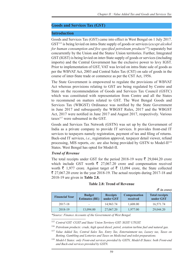#### **Goods and Services Tax (GST)**

#### **Introduction**

Goods and Services Tax (GST) came into effect in West Bengal on 1 July 2017. GST115 is being levied on intra-State supply of goods or services (*except alcohol for human consumption and five specified petroleum products*116) separately but concurrently by the Union and the States/ Union territories. Further, Integrated GST (IGST) is being levied on inter-State supply of goods or services (including imports) and the Central Government has the exclusive power to levy IGST. Prior to implementation of GST, VAT was levied on intra-State sale of goods as per the WBVAT Act, 2003 and Central Sales Tax (CST) on sale of goods in the course of inter-State trade or commerce as per the CST Act, 1956.

The State Government is empowered to regulate the provisions of WBVAT Act whereas provisions relating to GST are being regulated by Centre and State on the recommendation of Goods and Services Tax Council (GSTC) which was constituted with representation from Centre and all the States to recommend on matters related to GST. The West Bengal Goods and Services Tax (WBGST) Ordinance was notified by the State Government in June 2017 and subsequently the WBGST Rules, 2017 and the WBGST Act, 2017 were notified in June 2017 and August 2017, respectively. Various taxes<sup>117</sup> were subsumed in the GST.

Goods and Services Tax Network (GSTN) was set up by the Government of India as a private company to provide IT services. It provides front-end IT services to taxpayers namely registration, payment of tax and filing of returns. Back-end IT services, *i.e.*, registration approval, taxpayer detail viewer, refund processing, MIS reports, *etc.* are also being provided by GSTN to Model-II118 States. West Bengal has opted for Model-II.

#### *Trend of Revenue*

The total receipts under GST for the period 2018-19 were  $\bar{\tau}$  29,044.20 crore which include GST worth  $\bar{\tau}$  27,067.20 crore and compensation received worth  $\bar{\tau}$  1,977 crore. Against target of  $\bar{\tau}$  13,094 crore, the State collected  $\bar{\xi}$  27,067.20 crore in the year 2018-19. The actual receipts during 2017-18 and 2018-19 are given in **Table 2.8.**

#### **Table 2.8: Trend of Revenue**

|                       |                                        |                              |                                 | $(3 \nvert n \text{ error})$       |
|-----------------------|----------------------------------------|------------------------------|---------------------------------|------------------------------------|
| <b>Financial Year</b> | <b>Budget</b><br><b>Estimates (BE)</b> | <b>Receipts</b><br>under GST | <b>Compensation</b><br>received | <b>Total receipts</b><br>under GST |
| 2017-18               |                                        | 14,963.74                    | 1,608.00                        | 16,571.74                          |
| 2018-19               | 13,094.00                              | 27,067.20                    | 1,977.00                        | 29,044.20                          |

*\*Source: Finance Accounts of the Government of West Bengal.*

<sup>115</sup> *Central GST: CGST and State/ Union Territory GST: SGST/ UTGST.*

<sup>116</sup> *Petroleum products: crude, high speed diesel, petrol, aviation turbine fuel and natural gas.*

<sup>117</sup> *Value Added Tax, Central Sales Tax, Entry Tax, Entertainment tax, Luxury tax, Taxes on Betting, Gambling and Lotteries and Taxes on Medicinal and toilet preparations.*

<sup>118</sup> *Model-I States: only Front-end services provided by GSTN, Model-II States: both Front-end and Back-end services provided by GSTN.*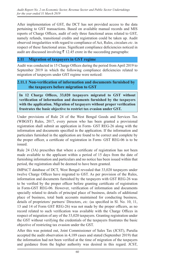After implementation of GST, the DCT has not provided access to the data pertaining to GST transactions. Based on available manual records and MIS reports of Charge Offices, audit of only three functional areas related to GST, namely refunds, transitional credits and registration could be taken up. Audit observed irregularities with regard to compliance of Act, Rules, circulars *etc*. in respect of these functional areas. Significant compliance deficiencies noticed in audit are discussed involving  $\bar{\tau}$  12.45 crore in the succeeding paragraphs:

### **2.11 Migration of taxpayers in GST regime**

Audit was conducted in 15 Charge Offices during the period from April 2019 to September 2019 in which the following compliance deficiencies related to migration of taxpayers under GST regime were noticed:

#### **2.11.1 Non-verification of information and documents furnished by the taxpayers before migration to GST**

**In 12 Charge Offices, 33,020 taxpayers migrated to GST without verification of information and documents furnished by the taxpayers with the application. Migration of taxpayers without proper verification frustrates the basic objective to restrict tax evasion under GST.**

Under provisions of Rule 24 of the West Bengal Goods and Services Tax (WBGST) Rules, 2017, every person who has been granted a provisional registration shall submit an application in Form- GST REG-26 along with the information and documents specified in the application. If the information and particulars furnished in the application are found to be correct and complete by the proper officer, a certificate of registration in Form- GST REG-06 is to be issued.

Rule 24 (3A) prescribes that where a certificate of registration has not been made available to the applicant within a period of 15 days from the date of furnishing information and particulars and no notice has been issued within that period, the registration shall be deemed to have been granted.

IMPACT database of DCT, West Bengal revealed that 33,020 taxpayers under twelve Charge Offices have migrated to GST. As per provision of the Rules, information and documents furnished by the taxpayers with GST REG-26 was to be verified by the proper officer before granting certificate of registration in Form-GST REG-06. However, verification of information and documents specially related to details of principal place of business, details of additional place of business, total bank accounts maintained for conducting business, details of proprietors/ partners/ Directors, *etc*. (as specified in Sl. No. 10, 11, 13 and 14 of Form GST REG-26) was not made by the proper officers, as no record related to such verification was available with the Charge Offices in respect of migration of any of the 33,020 taxpayers. Granting registration under the GST without verifying the credentials of the taxpayers frustrates the basic objective of restricting tax evasion under the GST.

After this was pointed out, Joint Commissioner of Sales Tax (JCST), Purulia accepted the audit observation in 4,189 cases and stated (September 2019) that the information had not been verified at the time of migration of the taxpayers and guidance from the higher authority was desired in this regard. JCST,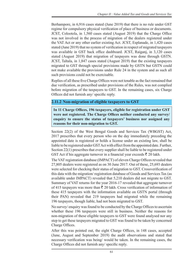Berhampore, in 6,916 cases stated (June 2019) that there is no rule under GST regime for compulsory physical verification of place of business or documents. JCST, Colootola, in 1,560 cases stated (August 2019) that the Charge Office was not involved in the process of migration of the dealers registered under the VAT Act or any other earlier existing Act. JCST, Esplanade, in 1,420 cases stated (June 2019) that no system of verification in respect of migrated taxpayers was available in GST back office dashboard. JCST, Raiganj, in 3,120 cases stated (August 2019) that migration of taxpayers was done through GSTN. JCST, Taltala, in 1,847 cases stated (August 2019) that the existing taxpayers migrated to GST through special provisions made by GSTN but GSTN could not make available the provisions under Rule 24 in the system and as such all such provisions could not be exercisable.

Replies of all these five Charge Offices were not tenable as the fact remained that due verification, as prescribed under provisions of the Rules, was not complied before migration of the taxpayers to GST. In the remaining cases, six Charge Offices did not furnish any/ specific reply.

# **2.11.2 Non-migration of eligible taxpayers to GST**

**In 11 Charge Offices, 196 taxpayers, eligible for registration under GST were not registered. The Charge Offices neither conducted any survey/ enquiry to ensure the status of taxpayers' business nor assigned any reasons for their non-migration to GST.**

Section 22(2) of the West Bengal Goods and Services Tax (WBGST) Act, 2017 prescribes that every person who on the day immediately preceding the appointed date is registered or holds a license under an existing law, shall be liable to be registered under GST Act with effect from the appointed date. Further, Section 22(1) prescribes that every supplier shall be liable to be registered under GST Act if his aggregate turnover in a financial year exceeds  $\bar{\tau}$  20 lakh.

The VAT registration database (IMPACT) of eleven Charge Offices revealed that 27,805 dealers were registered as on 30 June 2017. Out of these, 25,693 dealers were selected for checking their status of migration to GST. Crossverification of this data with the migration/ registration database of Goods and Services Tax (as available under IMPACT) revealed that 5,210 dealers did not migrate to GST. Summary of VAT returns for the year 2016-17 revealed that aggregate turnover of 415 taxpayers was more than  $\bar{\tau}$  20 lakh. Cross verification of information of these 415 taxpayers with the information available on GSTN portal (through their PAN) revealed that 219 taxpayers had migrated while the remaining 196 taxpayers, though liable, had not been migrated to GST.

No survey/ enquiry was found to be conducted by the Charge Offices to ascertain whether these 196 taxpayers were still in business. Neither the reasons for non-migration of these eligible taxpayers to GST were found analysed nor any step to get these taxpayers migrated to GST was found to be taken by concerned Charge Offices.

After this was pointed out, the eight Charge Offices, in 148 cases, accepted (June, August and September 2019) the audit observations and stated that necessary verification was being/ would be taken. In the remaining cases, the Charge Offices did not furnish any/ specific reply.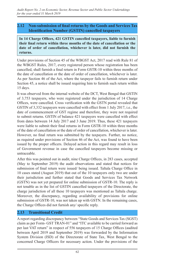# **2.12 Non-submission of final returns by the Goods and Services Tax Identification Number (GSTIN) cancelled taxpayers**

**In 14 Charge Offices, 421 GSTIN cancelled taxpayers, liable to furnish their final return within three months of the date of cancellation or the date of order of cancellation, whichever is later, did not furnish the returns.**

Under provisions of Section 45 of the WBGST Act, 2017 read with Rule 81 of the WBGST Rules, 2017, every registered person whose registration has been cancelled, shall furnish a final return in Form GSTR-10 within three months of the date of cancellation or the date of order of cancellation, whichever is later. As per Section 46 of the Act, where the taxpayer fails to furnish return under Section 45, a notice shall be issued requiring him to furnish such return within 15 days.

It was observed from the internal website of the DCT, West Bengal that GSTIN of 3,753 taxpayers, who were registered under the jurisdiction of 14 Charge Offices, were cancelled. Cross verification with the GSTN portal revealed that GSTIN of 3,332 taxpayers were cancelled with effect from 1 July 2017, i.e., the date of commencement of GST regime and therefore, they were not required to submit returns. GSTIN of balance 421 taxpayers were cancelled with effect from dates between 14 July 2017 and 3 June 2019. Thus, these 421 taxpayers were liable to submit their final returns in Form GSTR-10 within three months of the date of cancellation or the date of order of cancellation, whichever is later. However, no final return was submitted by the taxpayers. Further, no notice, as required under provisions of Section 46 of the Act, was found to have been issued by the proper officers. Delayed action in this regard may result in loss of Government revenue in case the cancelled taxpayers become missing or untraceable.

After this was pointed out in audit, nine Charge Offices, in 283 cases, accepted (May to September 2019) the audit observations and stated that notices for submission of final return were issued/ being issued. Taltala Charge Office in 10 cases stated (August 2019) that out of the 10 taxpayers only two are under their jurisdiction and further stated that Goods and Services Tax Network (GSTN) was not yet prepared for online submission of GSTR-10. The reply is not tenable as in the list of GSTIN cancelled taxpayers of the Directorate, the charge jurisdiction of all these 10 taxpayers was mentioned as Taltala charge. Moreover, the discrepancy, regarding availability of provisions for online submission of GSTR-10, was not taken up with GSTN. In the remaining cases, the Charge Offices did not furnish any/ specific reply.

# **2.13 Transitional Credit**

A report regarding discrepancy between "State Goods and Services Tax (SGST) claim as per Form- GST TRAN-01" and "ITC available to be carried forward as per last VAT return" in respect of 556 taxpayers of 15 Charge Offices (audited between April 2019 and September 2019) was forwarded by the Information System Division (ISD) of the Directorate of State Tax, West Bengal to the concerned Charge Officers for necessary action. Under the provisions of the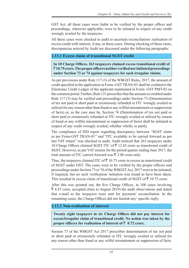GST Act, all these cases were liable to be verified by the proper officer and proceedings, wherever applicable, were to be initiated in respect of any credit wrongly availed by the taxpayers.

All these cases were checked in audit to ascertain reconciliation/ realisation of excess credit with interest, if any, in these cases. During checking of these cases, discrepancies noticed by Audit are discussed under the following paragraphs:

# **2.13.1 Excess claim of transitional SGST credit**

**In 10 Charge Offices, 263 taxpayers claimed excess transitional credit of**  ` **10.75 crore. The proper officers neither verified nor initiated proceedings under Section 73 or 74 against taxpayers for such irregular claims.**

As per provisions under Rule 117 (3) of the WBGST Rules, 2017, the amount of credit specified in the application in Form- GST TRAN-01 shall be credited to the Electronic Credit Ledger of the applicant maintained in Form- GST PMT-02 on the common portal. Further, Rule 121 prescribes that the amount so credited under Rule 117 (3) may be verified and proceedings under Section 73 (Determination of tax not paid or short paid or erroneously refunded or ITC wrongly availed or utilised for any reason other than fraud or any willful misstatement or suppression of facts) or, as the case may be, Section 74 (Determination of tax not paid or short paid or erroneously refunded or ITC wrongly availed or utilised by reason of fraud or any willful misstatement or suppression of facts) shall be initiated in respect of any credit wrongly availed, whether wholly or partly.

The compliance of ISD report regarding discrepancy between "SGST claim as per Form-GST TRAN-01" and "ITC available to be carried forward as per last VAT return" was checked in audit. Audit noticed that 263 taxpayers under 10 Charge Offices claimed SGST ITC of  $\bar{\tau}$  12.83 crore as transitional credit of SGST. However, as per VAT returns for the period quarter ending June 2017, the total amount of ITC carried forward was  $\bar{\mathcal{F}}$  2.08 crore only.

Thus, the taxpayers claimed ITC of  $\bar{\tau}$  10.75 crore in excess as transitional credit of SGST under GST. The cases were to be verified by the proper officers and proceedings under Section 73 or 74 of the WBGST Act, 2017 were to be initiated, if required, but no such verification/ initiation was found to have been taken. This resulted in excess claim of transitional credit of SGST of  $\bar{\xi}$  10.75 crore.

After this was pointed out, the five Charge Offices, in 108 cases involving  $\bar{\xi}$  4.47 crore, accepted (June to August 2019) the audit observations and stated that e-mail to the taxpayers were sent for payment/ reconciliation. In the remaining cases, the Charge Offices did not furnish any/ specific reply.

#### **2.13.2 Non-realisation of interest**

**Twenty eight taxpayers in six Charge Offices did not pay interest for excess/irregular claim of transitional credit. No action was taken by the proper officers for realisation of interest of**  $\bar{z}$  **0.72 crore.** 

Section 73 of the WBGST Act 2017 prescribes determination of tax not paid or short paid or erroneously refunded or ITC wrongly availed or utilised for any reason other than fraud or any wilful misstatement or suppression of facts.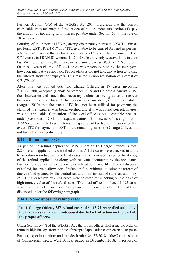Further, Section 73(5) of the WBGST Act 2017 prescribes that the person chargeable with tax may, before service of notice under sub-section (1), pay the amount of tax along with interest payable under Section 50, at the rate of 18 *per cent*.

Scrutiny of the report of ISD regarding discrepancy between "SGST claim as per Form-GST TRAN-01" and "ITC available to be carried forward as per last VAT return" revealed that 28 taxpayers under six Charge Offices claimed ITC of  $\bar{\xi}$  7.19 crore in TRAN-01 whereas ITC of  $\bar{\xi}$  0.86 crore only was available in their last VAT returns. Thus, these taxpayers claimed excess SGST of  $\bar{z}$  6.33 crore. Of these excess claims of  $\bar{\tau}$  4.41 crore was reversed/ paid by the taxpayers, however, interest was not paid. Proper officers did not take any action to realise the interest from the taxpayers. This resulted in non-realisation of interest of  $71.79$  lakh.

After this was pointed out, two Charge Offices, in 17 cases involving ` 13.88 lakh, accepted (Behala-September 2019 and Colootola-August 2019) the observation and stated that necessary action was being taken to recover the amount. Taltala Charge Office, in one case involving  $\bar{\tau}$  3.85 lakh, stated (August 2019) that the excess ITC had not been utilised for payment; the claim of the taxpayer was being verified and if it was found correct, interest was not applicable. Contention of the local office is not acceptable because under provisions of GST, if a taxpayer claims ITC in excess of his eligibility in TRAN-1, he is liable to pay interest irrespective of the fact of utilisation of that excess ITC for payment of GST. In the remaining cases, the Charge Offices did not furnish any/ specific reply.

# **2.14 Refund under GST**

As per online refund application MIS report of 15 Charge Offices, a total 2,234 refund applications were filed online. All the cases were checked in audit to ascertain non-disposal of refund cases due to non-submission of hard copy of the refund applications along with relevant documents by the applicants. Further, to ascertain other deficiencies related to refund like delayed disposal of refund, incorrect allowance of refund, refund without adjusting the arrears of dues, refund granted by the central tax authority instead of state tax authority, *etc*., 1,200 cases out of 2,234 cases were selected for checking on the basis of high money value of the refund cases. The local offices produced 1,095 cases which were checked in audit. Compliance deficiencies noticed by audit are discussed under the following paragraphs:

# **2.14.1 Non-disposal of refund cases**

In 11 Charge Offices, 737 refund cases of  $\bar{z}$  15.72 crore filed online by **the taxpayers remained un-disposed due to lack of action on the part of the proper officers.**

Under Section 54(7) of the WBGST Act, the proper officer shall issue the order of refund within 60 days from the date of receipt of application complete in all respects.

Further, as per instructions under trade circular No.-57/2018 of the Commissioner of Commercial Taxes, West Bengal issued in December 2018, in respect of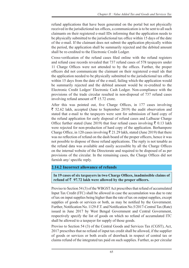refund applications that have been generated on the portal but not physically received in the jurisdictional tax offices, a communication is to be sent to all such claimants on their registered e-mail IDs informing that the application needs to be physically submitted to the jurisdictional tax office within 15 days of the date of the e-mail. If the claimant does not submit the application physically within the period, the application shall be summarily rejected and the debited amount shall be re-credited to the Electronic Credit Ledger.

Cross-verification of the refund cases filed online with the refund registers and refund case records revealed that 737 refund cases of 578 taxpayers under 11 Charge Offices were not attended to by the offices. Further, the proper officers did not communicate the claimant on their registered e-mail ids that the application needed to be physically submitted to the jurisdictional tax office within 15 days from the date of the e-mail, failing which the application would be summarily rejected and the debited amount would be re-credited to the Electronic Credit Ledger/ Electronic Cash Ledger. Non-compliance with the provisions of the trade circular resulted in non-disposal of 737 refund cases involving refund amount of  $\bar{\bar{\mathcal{F}}}$  15.72 crore.

After this was pointed out, five Charge Offices, in 177 cases involving  $\bar{\xi}$  52.62 lakh, accepted (June to September 2019) the audit observation and stated that e-mail to the taxpayers were sent for submission of hard copy of the refund application for early disposal of refund cases and Lalbazar Charge Office further stated (June 2019) that four refund cases involving  $\bar{\tau}$  0.13 lakh were rejected for non-production of hard copy of the application. Berhampore Charge Office, in 120 cases involving  $\bar{\xi}$  21.29 lakh, stated (June 2019) that there was no reflection of refund on the dash board of the proper officers, hence it was not possible to dispose of those refund applications. The reply is not tenable as the refund data was available and easily accessible by all the Charge Offices on the internal website of the Directorate and required to be disposed of as per provisions of the circular. In the remaining cases, the Charge Offices did not furnish any/ specific reply.

# **2.14.2 Incorrect allowance of refunds**

#### **In 19 cases of six taxpayers in two Charge Offices, inadmissible claims of**  refund of  $\bar{z}$  97.72 lakh were allowed by the proper officers.

Proviso to Section 54 (3) of the WBGST Act prescribes that refund of accumulated Input Tax Credit (ITC) shall be allowed in case the accumulation was due to rate of tax on input supplies being higher than the rate of tax on output supplies, except supplies of goods or services or both, as may be notified by the Government. Further, Notification No. 1129-F.T. and Notification No.5/2017-Central Tax (Rate) issued in June 2017 by West Bengal Government and Central Government, respectively specify the list of goods on which no refund of accumulated ITC shall be allowed to a taxpayer for supply of those goods.

Proviso to Section 54 (3) of the Central Goods and Services Tax (CGST), Act, 2017 prescribes that no refund of input tax credit shall be allowed, if the supplier of goods or services or both avails of drawback in respect of central tax or claims refund of the integrated tax paid on such supplies. Further, as per circular